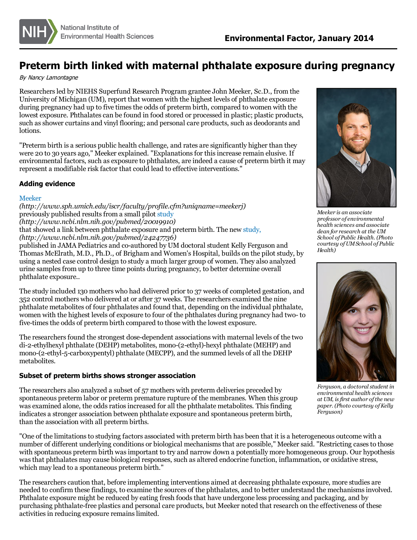

## **Preterm birth linked with maternal phthalate exposure during pregnancy**

By Nancy Lamontagne

Researchersled by NIEHS Superfund Research Program grantee John Meeker, Sc.D., from the University of Michigan (UM), report that women with the highest levels of phthalate exposure during pregnancy had up to five times the odds of preterm birth, compared to women with the lowest exposure. Phthalates can be found in food stored or processed in plastic; plastic products, such as shower curtains and vinyl flooring; and personal care products, such as deodorants and lotions.

"Preterm birth is a serious public health challenge, and rates are significantly higher than they were 20 to 30 years ago," Meeker explained. "Explanations for this increase remain elusive. If environmental factors, such as exposure to phthalates, are indeed a cause of preterm birth it may represent a modifiable risk factor that could lead to effective interventions."

## **Adding evidence**

## [Meeker](http://www.sph.umich.edu/iscr/faculty/profile.cfm?uniqname=meekerj)

*(http://www.sph.umich.edu/iscr/faculty/profile.cfm?uniqname=meekerj)* previously published results from a small pilot [study](http://www.ncbi.nlm.nih.gov/pubmed/20019910) *(http://www.ncbi.nlm.nih.gov/pubmed/20019910)*

that showed a link between phthalate exposure and preterm birth. The new [study,](http://www.ncbi.nlm.nih.gov/pubmed/24247736) *(http://www.ncbi.nlm.nih.gov/pubmed/24247736)*

published in JAMA Pediatrics and co-authored by UM doctoral student Kelly Ferguson and Thomas McElrath, M.D., Ph.D., of Brigham and Women's Hospital, builds on the pilot study, by using a nested case control design to study a much larger group of women. They also analyzed urine samplesfrom up to three time points during pregnancy, to better determine overall phthalate exposure..

The study included 130 mothers who had delivered prior to 37 weeks of completed gestation, and 352 control mothers who delivered at or after 37 weeks. The researchers examined the nine phthalate metabolites of four phthalates and found that, depending on the individual phthalate, women with the highest levels of exposure to four of the phthalates during pregnancy had two- to five-times the odds of preterm birth compared to those with the lowest exposure.

The researchers found the strongest dose-dependent associations with maternal levels of the two di-2-ethylhexyl phthalate (DEHP) metabolites, mono-(2-ethyl)-hexyl phthalate (MEHP) and mono-(2-ethyl-5-carboxypentyl) phthalate (MECPP), and the summed levels of all the DEHP metabolites.

## **Subset of preterm births shows stronger association**

The researchers also analyzed a subset of 57 mothers with preterm deliveries preceded by spontaneous preterm labor or preterm premature rupture of the membranes. When this group was examined alone, the odds ratios increased for all the phthalate metabolites. This finding indicates a stronger association between phthalate exposure and spontaneous preterm birth, than the association with all preterm births.

"One of the limitationsto studying factors associated with preterm birth has been that it is a heterogeneous outcome with a number of different underlying conditions or biological mechanismsthat are possible," Meeker said. "Restricting casesto those with spontaneous preterm birth was important to try and narrow down a potentially more homogeneous group. Our hypothesis wasthat phthalates may cause biological responses, such as altered endocrine function, inflammation, or oxidative stress, which may lead to a spontaneous preterm birth."

The researchers caution that, before implementing interventions aimed at decreasing phthalate exposure, more studies are needed to confirm these findings, to examine the sources of the phthalates, and to better understand the mechanismsinvolved. Phthalate exposure might be reduced by eating fresh foods that have undergone less processing and packaging, and by purchasing phthalate-free plastics and personal care products, but Meeker noted that research on the effectiveness of these activities in reducing exposure remains limited.



*Meeker is an associate professor of environmental health sciences and associate dean for research at the UM School of Public Health. (Photo courtesy ofUMSchool of Public Health)*



*Ferguson, a doctoral student in environmental health sciences at UM, isfirst author ofthe new paper. (Photo courtesy ofKelly Ferguson)*